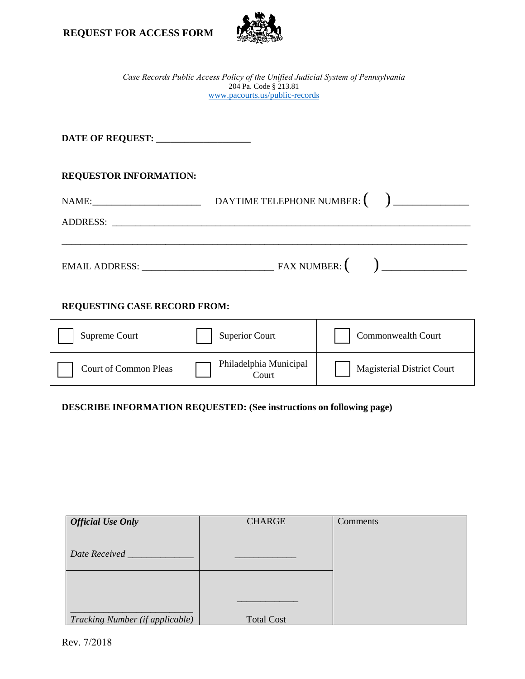



*Case Records Public Access Policy of the Unified Judicial System of Pennsylvania* 204 Pa. Code § 213.81 www.pacourts.us/public-records

| DATE OF REQUEST: __________________ |  |  |  |  |
|-------------------------------------|--|--|--|--|
| <b>REQUESTOR INFORMATION:</b>       |  |  |  |  |
|                                     |  |  |  |  |
|                                     |  |  |  |  |
|                                     |  |  |  |  |

# **REQUESTING CASE RECORD FROM:**

| Supreme Court                | <b>Superior Court</b>           | <b>Commonwealth Court</b>  |
|------------------------------|---------------------------------|----------------------------|
| <b>Court of Common Pleas</b> | Philadelphia Municipal<br>Court | Magisterial District Court |

## **DESCRIBE INFORMATION REQUESTED: (See instructions on following page)**

| <b>Official Use Only</b>        | <b>CHARGE</b>     | Comments |
|---------------------------------|-------------------|----------|
|                                 |                   |          |
| Date Received                   |                   |          |
|                                 |                   |          |
|                                 |                   |          |
|                                 |                   |          |
|                                 |                   |          |
| Tracking Number (if applicable) | <b>Total Cost</b> |          |